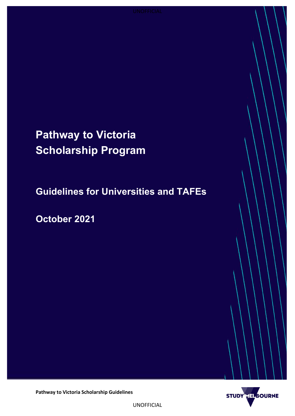# **Pathway to Victoria Scholarship Program**

**Guidelines for Universities and TAFEs**

**October 2021**



**Pathway to Victoria Scholarship Guidelines**

UNOFFICIAL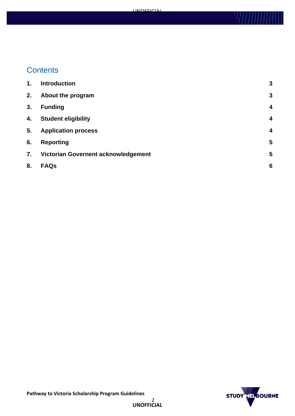## **Contents**

| 1. | <b>Introduction</b>                 | 3 |
|----|-------------------------------------|---|
| 2. | About the program                   | 3 |
| 3. | <b>Funding</b>                      | 4 |
| 4. | <b>Student eligibility</b>          | 4 |
| 5. | <b>Application process</b>          | 4 |
| 6. | <b>Reporting</b>                    | 5 |
| 7. | Victorian Governent acknowledgement | 5 |
| 8. | <b>FAQs</b>                         | 6 |

UNOFFICIAL

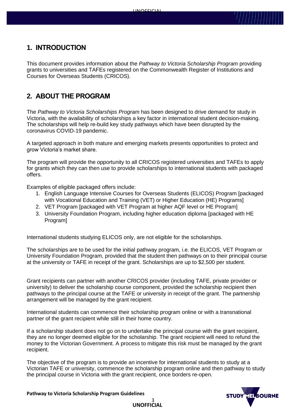## <span id="page-2-0"></span>**1. INTRODUCTION**

This document provides information about the *Pathway to Victoria Scholarship Program* providing grants to universities and TAFEs registered on the Commonwealth Register of Institutions and Courses for Overseas Students (CRICOS).

## <span id="page-2-1"></span>**2. ABOUT THE PROGRAM**

The *Pathway to Victoria Scholarships Program* has been designed to drive demand for study in Victoria, with the availability of scholarships a key factor in international student decision-making. The scholarships will help re-build key study pathways which have been disrupted by the coronavirus COVID-19 pandemic.

A targeted approach in both mature and emerging markets presents opportunities to protect and grow Victoria's market share.

The program will provide the opportunity to all CRICOS registered universities and TAFEs to apply for grants which they can then use to provide scholarships to international students with packaged offers.

Examples of eligible packaged offers include:

- 1. English Language Intensive Courses for Overseas Students (ELICOS) Program [packaged with Vocational Education and Training (VET) or Higher Education (HE) Programs]
- 2. VET Program [packaged with VET Program at higher AQF level or HE Program]
- 3. University Foundation Program, including higher education diploma [packaged with HE Program]

International students studying ELICOS only, are not eligible for the scholarships.

The scholarships are to be used for the initial pathway program, i.e. the ELICOS, VET Program or University Foundation Program, provided that the student then pathways on to their principal course at the university or TAFE in receipt of the grant. Scholarships are up to \$2,500 per student.

Grant recipients can partner with another CRICOS provider (including TAFE, private provider or university) to deliver the scholarship course component, provided the scholarship recipient then pathways to the principal course at the TAFE or university in receipt of the grant. The partnership arrangement will be managed by the grant recipient.

International students can commence their scholarship program online or with a transnational partner of the grant recipient while still in their home country.

If a scholarship student does not go on to undertake the principal course with the grant recipient, they are no longer deemed eligible for the scholarship. The grant recipient will need to refund the money to the Victorian Government. A process to mitigate this risk must be managed by the grant recipient.

The objective of the program is to provide an incentive for international students to study at a Victorian TAFE or university, commence the scholarship program online and then pathway to study the principal course in Victoria with the grant recipient, once borders re-open.

3

**UNOFFICIAL**

**MELBOURNE STUDY** 

**Pathway to Victoria Scholarship Program Guidelines**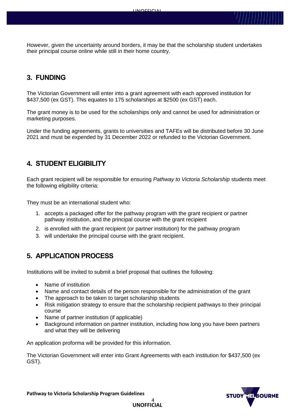However, given the uncertainty around borders, it may be that the scholarship student undertakes their principal course online while still in their home country.

## <span id="page-3-0"></span>**3. FUNDING**

The Victorian Government will enter into a grant agreement with each approved institution for \$437,500 (ex GST). This equates to 175 scholarships at \$2500 (ex GST) each.

The grant money is to be used for the scholarships only and cannot be used for administration or marketing purposes.

Under the funding agreements, grants to universities and TAFEs will be distributed before 30 June 2021 and must be expended by 31 December 2022 or refunded to the Victorian Government.

## <span id="page-3-1"></span>**4. STUDENT ELIGIBILITY**

Each grant recipient will be responsible for ensuring *Pathway to Victoria Scholarship* students meet the following eligibility criteria:

They must be an international student who:

- 1. accepts a packaged offer for the pathway program with the grant recipient or partner pathway institution, and the principal course with the grant recipient
- 2. is enrolled with the grant recipient (or partner institution) for the pathway program
- <span id="page-3-2"></span>3. will undertake the principal course with the grant recipient.

## **5. APPLICATION PROCESS**

Institutions will be invited to submit a brief proposal that outlines the following:

- Name of institution
- Name and contact details of the person responsible for the administration of the grant
- The approach to be taken to target scholarship students
- Risk mitigation strategy to ensure that the scholarship recipient pathways to their principal course
- Name of partner institution (if applicable)
- Background information on partner institution, including how long you have been partners and what they will be delivering

An application proforma will be provided for this information.

The Victorian Government will enter into Grant Agreements with each institution for \$437,500 (ex GST).



**Pathway to Victoria Scholarship Program Guidelines**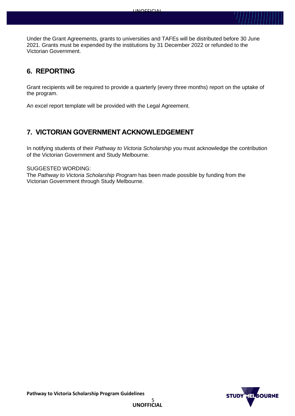Under the Grant Agreements, grants to universities and TAFEs will be distributed before 30 June 2021. Grants must be expended by the institutions by 31 December 2022 or refunded to the Victorian Government.

## <span id="page-4-0"></span>**6. REPORTING**

Grant recipients will be required to provide a quarterly (every three months) report on the uptake of the program.

<span id="page-4-1"></span>An excel report template will be provided with the Legal Agreement.

## **7. VICTORIAN GOVERNMENT ACKNOWLEDGEMENT**

In notifying students of their *Pathway to Victoria Scholarship* you must acknowledge the contribution of the Victorian Government and Study Melbourne.

#### SUGGESTED WORDING:

<span id="page-4-2"></span>The *Pathway to Victoria Scholarship Program* has been made possible by funding from the Victorian Government through Study Melbourne.